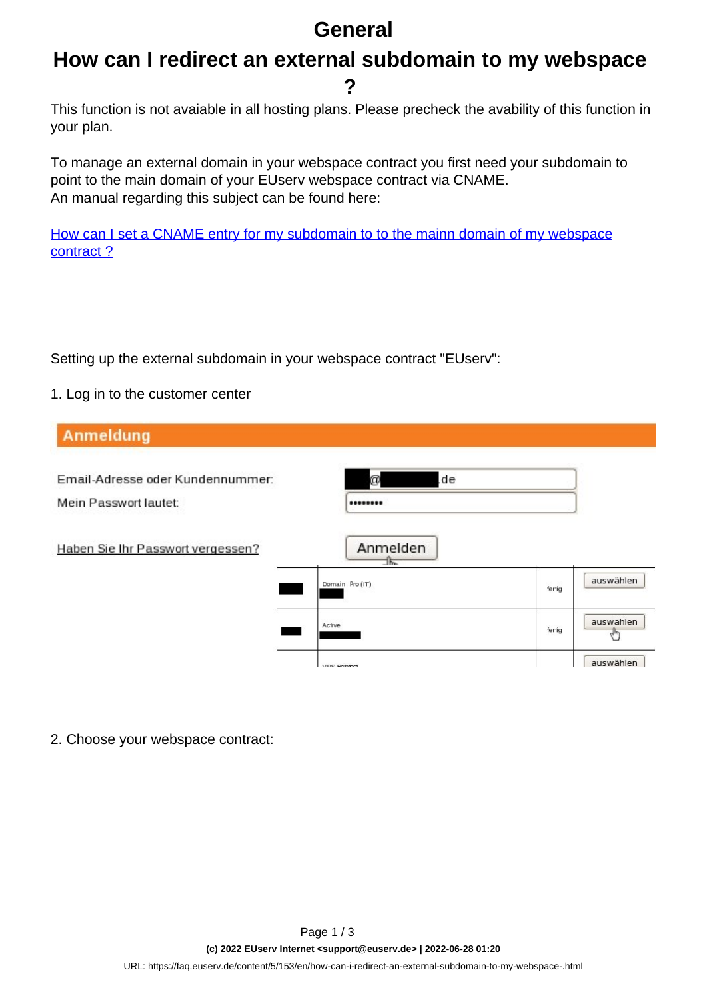## **General**

### **How can I redirect an external subdomain to my webspace ?**

This function is not avaiable in all hosting plans. Please precheck the avability of this function in your plan.

To manage an external domain in your webspace contract you first need your subdomain to point to the main domain of your EUserv webspace contract via CNAME. An manual regarding this subject can be found here:

[How can I set a CNAME entry for my subdomain to to the mainn domain of my webspace](http://faq2.euserv.de/content/19/152/en/how-can-i-set-a-cname-entry-for-my-subdomain-to-the-main-domain-of-my-web-space-contract-.html) contract?

Setting up the external subdomain in your webspace contract "EUserv":

#### 1. Log in to the customer center

| <b>Anmeldung</b>                                          |                                         |        |           |
|-----------------------------------------------------------|-----------------------------------------|--------|-----------|
| Email-Adresse oder Kundennummer:<br>Mein Passwort lautet: | .de<br>ø<br>********                    |        |           |
| Haben Sie Ihr Passwort vergessen?                         | Anmelden<br>The line<br>Domain Pro (IT) | fertig | auswählen |
|                                                           | Active                                  | fertig | auswählen |
|                                                           | <b>MDC Botatord</b>                     |        | auswählen |

2. Choose your webspace contract: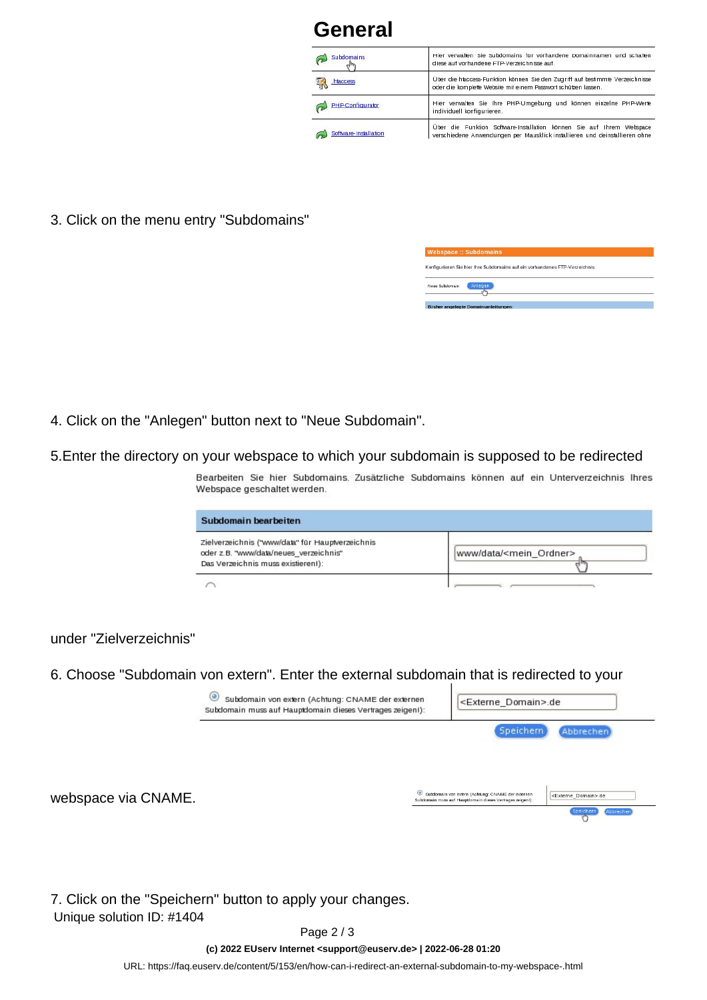# **General**

| Subdomains              | Hier verwalten Sie Subdomains für vorhandene Domainnamen und schalten<br>diese auf vorhandene FTP-Verzeichnisse auf.                                 |  |  |  |  |
|-------------------------|------------------------------------------------------------------------------------------------------------------------------------------------------|--|--|--|--|
| haccess<br><b>Fire</b>  | Über die hlaccess-Funktion können Sie den Zugriff auf bestimmte Verzeichnisse<br>oder die komplette Website mit einem Passwort schützen lassen.      |  |  |  |  |
| <b>PHP-Configurator</b> | Hier verwalten Sie Ihre PHP-Umgebung und können einzelne PHP-Werte<br>individuell konfigurieren.                                                     |  |  |  |  |
| Software-Installation   | Über die Funktion Software-Installation können Sie auf Ihrem Webspace<br>verschiedene Anwendungen per Mausklick installieren und deinstallieren ohne |  |  |  |  |

3. Click on the menu entry "Subdomains"

|                | Konfigurieren Sie hier Ihre Subdomains auf ein vorhandenes FTP-Verzeichnis. |  |
|----------------|-----------------------------------------------------------------------------|--|
|                |                                                                             |  |
| Neue Subdomain | Anlegen                                                                     |  |
|                |                                                                             |  |

- 4. Click on [the "Anlegen" button next to "Neue Subdomain".](https://faq.euserv.de/content/5/153/en/how-can-i-redirect-an-external-subdomain-to-my-webspace-.html)
- 5.Enter the directory on your webspace to which your subdomain is supposed to be redirected

Bearbeiten Sie hier Subdomains. Zusätzliche Subdomains können auf ein Unterverzeichnis Ihres Webspace geschaltet werden.

| Subdomain bearbeiten                                                                                                              |                                   |
|-----------------------------------------------------------------------------------------------------------------------------------|-----------------------------------|
| Zielverzeichnis ('www/data" für Hauptverzeichnis<br>oder z.B. 'www/data/neues_verzeichnis''<br>Das Verzeichnis muss existieren!): | www/data/ <mein ordner=""></mein> |
|                                                                                                                                   |                                   |

under "Zielverzeichnis"

6. Choose "Subdomain von extern". Enter the external subdomain that is redirected to your

|                     | $\circ$<br>Subdomain von extern (Achtung: CNAME der externen<br>Subdomain muss auf Hauptdomain dieses Vertrages zeigent): |                                                                                                                | <externe_domain>.de</externe_domain> |                                  |           |  |
|---------------------|---------------------------------------------------------------------------------------------------------------------------|----------------------------------------------------------------------------------------------------------------|--------------------------------------|----------------------------------|-----------|--|
|                     |                                                                                                                           |                                                                                                                | <b>Speichern</b>                     | Abbrechen)                       |           |  |
| webspace via CNAME. |                                                                                                                           | Subdomain von extern (Achtung: CNAME der externen<br>Subdomain muss auf Hauptdomain dieses Vertrages zeigen!): |                                      | <externe domain="">.de</externe> |           |  |
|                     |                                                                                                                           |                                                                                                                |                                      |                                  | Abbrechen |  |

7. Click on the "Speichern" button to apply your changes. Unique solution ID: #1404

Page 2 / 3

**(c) 2022 EUserv Internet <support@euserv.de> | 2022-06-28 01:20**

[URL: https://faq.euserv.de/content/5/153/en/how-can-i-redirect-an-external-subdomain-to-my-webspace-.html](https://faq.euserv.de/content/5/153/en/how-can-i-redirect-an-external-subdomain-to-my-webspace-.html)